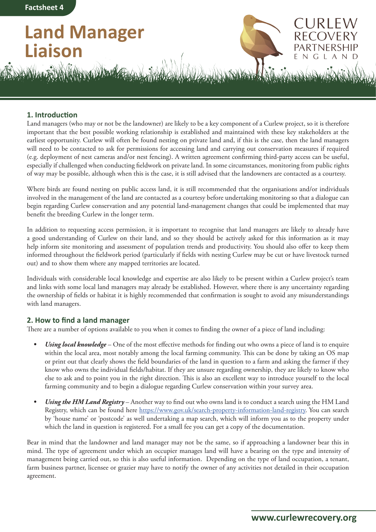**Factsheet 4**

## **Land Manager Liaison**



JRI EV

AN.

N - G L

## **1. Introduction**

Land managers (who may or not be the landowner) are likely to be a key component of a Curlew project, so it is therefore important that the best possible working relationship is established and maintained with these key stakeholders at the earliest opportunity. Curlew will often be found nesting on private land and, if this is the case, then the land managers will need to be contacted to ask for permissions for accessing land and carrying out conservation measures if required (e.g. deployment of nest cameras and/or nest fencing). A written agreement confirming third-party access can be useful, especially if challenged when conducting fieldwork on private land. In some circumstances, monitoring from public rights of way may be possible, although when this is the case, it is still advised that the landowners are contacted as a courtesy.

Where birds are found nesting on public access land, it is still recommended that the organisations and/or individuals involved in the management of the land are contacted as a courtesy before undertaking monitoring so that a dialogue can begin regarding Curlew conservation and any potential land-management changes that could be implemented that may benefit the breeding Curlew in the longer term.

In addition to requesting access permission, it is important to recognise that land managers are likely to already have a good understanding of Curlew on their land, and so they should be actively asked for this information as it may help inform site monitoring and assessment of population trends and productivity. You should also offer to keep them informed throughout the fieldwork period (particularly if fields with nesting Curlew may be cut or have livestock turned out) and to show them where any mapped territories are located.

Individuals with considerable local knowledge and expertise are also likely to be present within a Curlew project's team and links with some local land managers may already be established. However, where there is any uncertainty regarding the ownership of fields or habitat it is highly recommended that confirmation is sought to avoid any misunderstandings with land managers.

## **2. How to find a land manager**

There are a number of options available to you when it comes to finding the owner of a piece of land including:

- *• Using local knowledge* One of the most effective methods for finding out who owns a piece of land is to enquire within the local area, most notably among the local farming community. This can be done by taking an OS map or print out that clearly shows the field boundaries of the land in question to a farm and asking the farmer if they know who owns the individual fields/habitat. If they are unsure regarding ownership, they are likely to know who else to ask and to point you in the right direction. This is also an excellent way to introduce yourself to the local farming community and to begin a dialogue regarding Curlew conservation within your survey area.
- *• Using the HM Land Registry* Another way to find out who owns land is to conduct a search using the HM Land Registry, which can be found here [https://www.gov.uk/search-property-information-land-registry.](https://www.gov.uk/search-property-information-land-registry) You can search by 'house name' or 'postcode' as well undertaking a map search, which will inform you as to the property under which the land in question is registered. For a small fee you can get a copy of the documentation.

Bear in mind that the landowner and land manager may not be the same, so if approaching a landowner bear this in mind. The type of agreement under which an occupier manages land will have a bearing on the type and intensity of management being carried out, so this is also useful information. Depending on the type of land occupation, a tenant, farm business partner, licensee or grazier may have to notify the owner of any activities not detailed in their occupation agreement.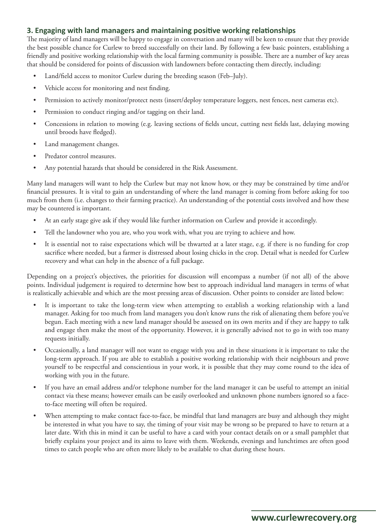## **3. Engaging with land managers and maintaining positive working relationships**

The majority of land managers will be happy to engage in conversation and many will be keen to ensure that they provide the best possible chance for Curlew to breed successfully on their land. By following a few basic pointers, establishing a friendly and positive working relationship with the local farming community is possible. There are a number of key areas that should be considered for points of discussion with landowners before contacting them directly, including:

- Land/field access to monitor Curlew during the breeding season (Feb–July).
- Vehicle access for monitoring and nest finding.
- Permission to actively monitor/protect nests (insert/deploy temperature loggers, nest fences, nest cameras etc).
- Permission to conduct ringing and/or tagging on their land.
- Concessions in relation to mowing (e.g. leaving sections of fields uncut, cutting nest fields last, delaying mowing until broods have fledged).
- Land management changes.
- Predator control measures.
- Any potential hazards that should be considered in the Risk Assessment.

Many land managers will want to help the Curlew but may not know how, or they may be constrained by time and/or financial pressures. It is vital to gain an understanding of where the land manager is coming from before asking for too much from them (i.e. changes to their farming practice). An understanding of the potential costs involved and how these may be countered is important.

- At an early stage give ask if they would like further information on Curlew and provide it accordingly.
- Tell the landowner who you are, who you work with, what you are trying to achieve and how.
- It is essential not to raise expectations which will be thwarted at a later stage, e.g. if there is no funding for crop sacrifice where needed, but a farmer is distressed about losing chicks in the crop. Detail what is needed for Curlew recovery and what can help in the absence of a full package.

Depending on a project's objectives, the priorities for discussion will encompass a number (if not all) of the above points. Individual judgement is required to determine how best to approach individual land managers in terms of what is realistically achievable and which are the most pressing areas of discussion. Other points to consider are listed below:

- It is important to take the long-term view when attempting to establish a working relationship with a land manager. Asking for too much from land managers you don't know runs the risk of alienating them before you've begun. Each meeting with a new land manager should be assessed on its own merits and if they are happy to talk and engage then make the most of the opportunity. However, it is generally advised not to go in with too many requests initially.
- Occasionally, a land manager will not want to engage with you and in these situations it is important to take the long-term approach. If you are able to establish a positive working relationship with their neighbours and prove yourself to be respectful and conscientious in your work, it is possible that they may come round to the idea of working with you in the future.
- If you have an email address and/or telephone number for the land manager it can be useful to attempt an initial contact via these means; however emails can be easily overlooked and unknown phone numbers ignored so a faceto-face meeting will often be required.
- When attempting to make contact face-to-face, be mindful that land managers are busy and although they might be interested in what you have to say, the timing of your visit may be wrong so be prepared to have to return at a later date. With this in mind it can be useful to have a card with your contact details on or a small pamphlet that briefly explains your project and its aims to leave with them. Weekends, evenings and lunchtimes are often good times to catch people who are often more likely to be available to chat during these hours.